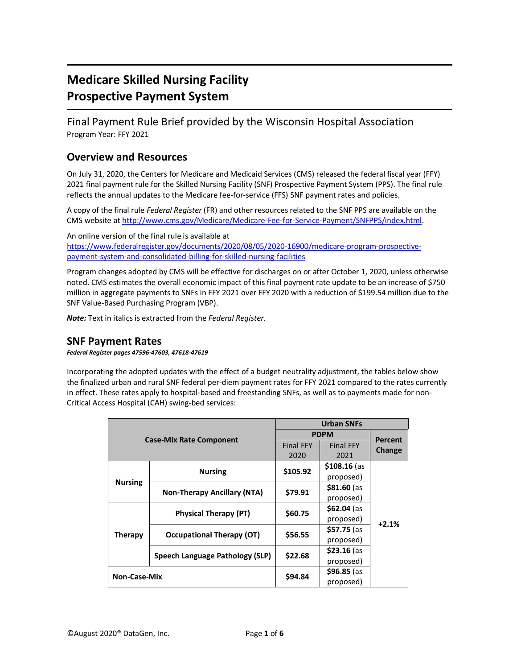# **Medicare Skilled Nursing Facility Prospective Payment System**

Final Payment Rule Brief provided by the Wisconsin Hospital Association Program Year: FFY 2021

### **Overview and Resources**

On July 31, 2020, the Centers for Medicare and Medicaid Services (CMS) released the federal fiscal year (FFY) 2021 final payment rule for the Skilled Nursing Facility (SNF) Prospective Payment System (PPS). The final rule reflects the annual updates to the Medicare fee-for-service (FFS) SNF payment rates and policies.

A copy of the final rule *Federal Register* (FR) and other resources related to the SNF PPS are available on the CMS website a[t http://www.cms.gov/Medicare/Medicare-Fee-for-Service-Payment/SNFPPS/index.html.](http://www.cms.gov/Medicare/Medicare-Fee-for-Service-Payment/SNFPPS/index.html)

An online version of the final rule is available at [https://www.federalregister.gov/documents/2020/08/05/2020-16900/medicare-program-prospective](https://www.federalregister.gov/documents/2020/08/05/2020-16900/medicare-program-prospective-payment-system-and-consolidated-billing-for-skilled-nursing-facilities)[payment-system-and-consolidated-billing-for-skilled-nursing-facilities](https://www.federalregister.gov/documents/2020/08/05/2020-16900/medicare-program-prospective-payment-system-and-consolidated-billing-for-skilled-nursing-facilities)

Program changes adopted by CMS will be effective for discharges on or after October 1, 2020, unless otherwise noted. CMS estimates the overall economic impact of this final payment rate update to be an increase of \$750 million in aggregate payments to SNFs in FFY 2021 over FFY 2020 with a reduction of \$199.54 million due to the SNF Value-Based Purchasing Program (VBP).

*Note:* Text in italics is extracted from the *Federal Register.*

### **SNF Payment Rates**

*Federal Register pages 47596-47603, 47618-47619*

Incorporating the adopted updates with the effect of a budget neutrality adjustment, the tables below show the finalized urban and rural SNF federal per-diem payment rates for FFY 2021 compared to the rates currently in effect. These rates apply to hospital-based and freestanding SNFs, as well as to payments made for non-Critical Access Hospital (CAH) swing-bed services:

|                     |                                    | <b>Urban SNFs</b> |                  |         |
|---------------------|------------------------------------|-------------------|------------------|---------|
|                     |                                    | <b>PDPM</b>       |                  | Percent |
|                     | <b>Case-Mix Rate Component</b>     |                   | <b>Final FFY</b> | Change  |
|                     |                                    | 2020              | 2021             |         |
|                     | <b>Nursing</b>                     | \$105.92          | $$108.16$ (as    | $+2.1%$ |
| <b>Nursing</b>      |                                    |                   | proposed)        |         |
|                     | <b>Non-Therapy Ancillary (NTA)</b> | \$79.91           | $$81.60$ (as     |         |
|                     |                                    |                   | proposed)        |         |
| <b>Therapy</b>      | <b>Physical Therapy (PT)</b>       | \$60.75           | $$62.04$ (as     |         |
|                     |                                    |                   | proposed)        |         |
|                     | <b>Occupational Therapy (OT)</b>   | \$56.55           | \$57.75 (as      |         |
|                     |                                    |                   | proposed)        |         |
|                     | Speech Language Pathology (SLP)    | \$22.68           | $$23.16$ (as     |         |
|                     |                                    |                   | proposed)        |         |
| <b>Non-Case-Mix</b> |                                    | \$94.84           | $$96.85$ (as     |         |
|                     |                                    |                   | proposed)        |         |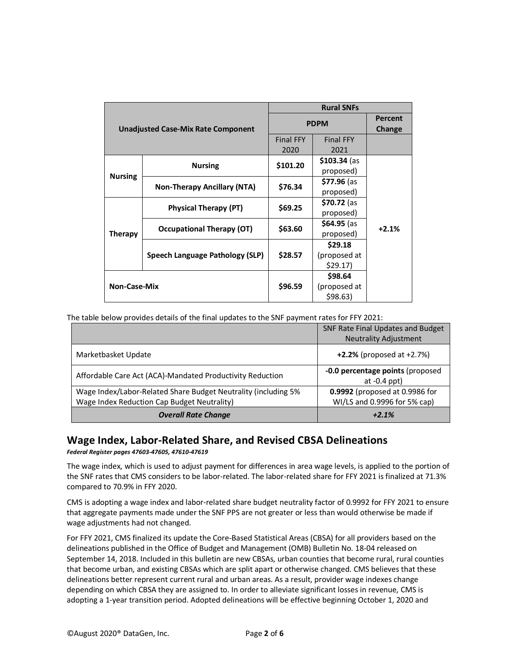|                                           |                                    |                          | <b>Rural SNFs</b>                  |                          |
|-------------------------------------------|------------------------------------|--------------------------|------------------------------------|--------------------------|
| <b>Unadjusted Case-Mix Rate Component</b> |                                    | <b>PDPM</b>              |                                    | <b>Percent</b><br>Change |
|                                           |                                    | <b>Final FFY</b><br>2020 | <b>Final FFY</b><br>2021           |                          |
| <b>Nursing</b>                            | <b>Nursing</b>                     | \$101.20                 | \$103.34 (as<br>proposed)          |                          |
|                                           | <b>Non-Therapy Ancillary (NTA)</b> | \$76.34                  | \$77.96 (as<br>proposed)           |                          |
| <b>Therapy</b>                            | Physical Therapy (PT)              | \$69.25                  | \$70.72 (as<br>proposed)           |                          |
|                                           | Occupational Therapy (OT)          | \$63.60                  | $$64.95$ (as<br>proposed)          | $+2.1%$                  |
|                                           | Speech Language Pathology (SLP)    | \$28.57                  | \$29.18<br>(proposed at<br>\$29.17 |                          |
| <b>Non-Case-Mix</b>                       |                                    | \$96.59                  | \$98.64<br>(proposed at<br>\$98.63 |                          |

The table below provides details of the final updates to the SNF payment rates for FFY 2021:

|                                                                | SNF Rate Final Updates and Budget<br><b>Neutrality Adjustment</b> |
|----------------------------------------------------------------|-------------------------------------------------------------------|
| Marketbasket Update                                            | $+2.2\%$ (proposed at $+2.7\%$ )                                  |
| Affordable Care Act (ACA)-Mandated Productivity Reduction      | -0.0 percentage points (proposed<br>at $-0.4$ ppt)                |
| Wage Index/Labor-Related Share Budget Neutrality (including 5% | 0.9992 (proposed at 0.9986 for                                    |
| Wage Index Reduction Cap Budget Neutrality)                    | WI/LS and 0.9996 for 5% cap)                                      |
| <b>Overall Rate Change</b>                                     | $+2.1%$                                                           |

## **Wage Index, Labor-Related Share, and Revised CBSA Delineations**

*Federal Register pages 47603-47605, 47610-47619*

The wage index, which is used to adjust payment for differences in area wage levels, is applied to the portion of the SNF rates that CMS considers to be labor-related. The labor-related share for FFY 2021 is finalized at 71.3% compared to 70.9% in FFY 2020.

CMS is adopting a wage index and labor-related share budget neutrality factor of 0.9992 for FFY 2021 to ensure that aggregate payments made under the SNF PPS are not greater or less than would otherwise be made if wage adjustments had not changed.

For FFY 2021, CMS finalized its update the Core-Based Statistical Areas (CBSA) for all providers based on the delineations published in the Office of Budget and Management (OMB) Bulletin No. 18-04 released on September 14, 2018. Included in this bulletin are new CBSAs, urban counties that become rural, rural counties that become urban, and existing CBSAs which are split apart or otherwise changed. CMS believes that these delineations better represent current rural and urban areas. As a result, provider wage indexes change depending on which CBSA they are assigned to. In order to alleviate significant losses in revenue, CMS is adopting a 1-year transition period. Adopted delineations will be effective beginning October 1, 2020 and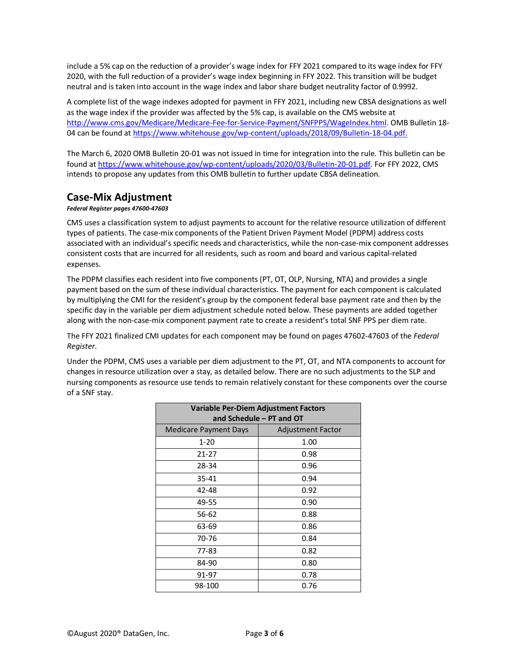include a 5% cap on the reduction of a provider's wage index for FFY 2021 compared to its wage index for FFY 2020, with the full reduction of a provider's wage index beginning in FFY 2022. This transition will be budget neutral and is taken into account in the wage index and labor share budget neutrality factor of 0.9992.

A complete list of the wage indexes adopted for payment in FFY 2021, including new CBSA designations as well as the wage index if the provider was affected by the 5% cap, is available on the CMS website at [http://www.cms.gov/Medicare/Medicare-Fee-for-Service-Payment/SNFPPS/WageIndex.html.](http://www.cms.gov/Medicare/Medicare-Fee-for-Service-Payment/SNFPPS/WageIndex.html) OMB Bulletin 18- 04 can be found a[t https://www.whitehouse.gov/wp-content/uploads/2018/09/Bulletin-18-04.pdf.](https://www.whitehouse.gov/wp-content/uploads/2018/09/Bulletin-18-04.pdf)

The March 6, 2020 OMB Bulletin 20-01 was not issued in time for integration into the rule. This bulletin can be found a[t https://www.whitehouse.gov/wp-content/uploads/2020/03/Bulletin-20-01.pdf.](https://www.whitehouse.gov/wp-content/uploads/2020/03/Bulletin-20-01.pdf) For FFY 2022, CMS intends to propose any updates from this OMB bulletin to further update CBSA delineation.

#### **Case-Mix Adjustment**

#### *Federal Register pages 47600-47603*

CMS uses a classification system to adjust payments to account for the relative resource utilization of different types of patients. The case-mix components of the Patient Driven Payment Model (PDPM) address costs associated with an individual's specific needs and characteristics, while the non-case-mix component addresses consistent costs that are incurred for all residents, such as room and board and various capital-related expenses.

The PDPM classifies each resident into five components (PT, OT, OLP, Nursing, NTA) and provides a single payment based on the sum of these individual characteristics. The payment for each component is calculated by multiplying the CMI for the resident's group by the component federal base payment rate and then by the specific day in the variable per diem adjustment schedule noted below. These payments are added together along with the non-case-mix component payment rate to create a resident's total SNF PPS per diem rate.

The FFY 2021 finalized CMI updates for each component may be found on pages 47602-47603 of the *Federal Register*.

Under the PDPM, CMS uses a variable per diem adjustment to the PT, OT, and NTA components to account for changes in resource utilization over a stay, as detailed below. There are no such adjustments to the SLP and nursing components as resource use tends to remain relatively constant for these components over the course of a SNF stay.

| Variable Per-Diem Adjustment Factors |                          |  |
|--------------------------------------|--------------------------|--|
| and Schedule – PT and OT             |                          |  |
| Medicare Payment Days                | <b>Adjustment Factor</b> |  |
| $1 - 20$                             | 1.00                     |  |
| 21-27                                | 0.98                     |  |
| 28-34                                | 0.96                     |  |
| 35-41                                | 0.94                     |  |
| 42-48                                | 0.92                     |  |
| 49-55                                | 0.90                     |  |
| 56-62                                | 0.88                     |  |
| 63-69                                | 0.86                     |  |
| 70-76                                | 0.84                     |  |
| 77-83                                | 0.82                     |  |
| 84-90                                | 0.80                     |  |
| 91-97                                | 0.78                     |  |
| 98-100                               | 0.76                     |  |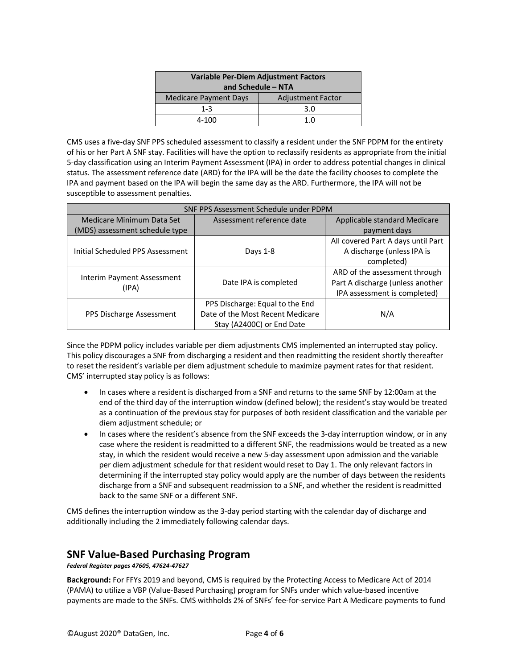| Variable Per-Diem Adjustment Factors<br>and Schedule $-$ NTA |                          |  |
|--------------------------------------------------------------|--------------------------|--|
| <b>Medicare Payment Days</b>                                 | <b>Adjustment Factor</b> |  |
| $1 - 3$                                                      | 3.0                      |  |
| 4-100                                                        | 1 ∩                      |  |

CMS uses a five-day SNF PPS scheduled assessment to classify a resident under the SNF PDPM for the entirety of his or her Part A SNF stay. Facilities will have the option to reclassify residents as appropriate from the initial 5-day classification using an Interim Payment Assessment (IPA) in order to address potential changes in clinical status. The assessment reference date (ARD) for the IPA will be the date the facility chooses to complete the IPA and payment based on the IPA will begin the same day as the ARD. Furthermore, the IPA will not be susceptible to assessment penalties.

| SNF PPS Assessment Schedule under PDPM |                                  |                                    |
|----------------------------------------|----------------------------------|------------------------------------|
| Medicare Minimum Data Set              | Assessment reference date        | Applicable standard Medicare       |
| (MDS) assessment schedule type         |                                  | payment days                       |
|                                        |                                  | All covered Part A days until Part |
| Initial Scheduled PPS Assessment       | Days 1-8                         | A discharge (unless IPA is         |
|                                        |                                  | completed)                         |
|                                        |                                  | ARD of the assessment through      |
| Interim Payment Assessment<br>(IPA)    | Date IPA is completed            | Part A discharge (unless another   |
|                                        |                                  | IPA assessment is completed)       |
|                                        | PPS Discharge: Equal to the End  |                                    |
| PPS Discharge Assessment               | Date of the Most Recent Medicare | N/A                                |
|                                        | Stay (A2400C) or End Date        |                                    |

Since the PDPM policy includes variable per diem adjustments CMS implemented an interrupted stay policy. This policy discourages a SNF from discharging a resident and then readmitting the resident shortly thereafter to reset the resident's variable per diem adjustment schedule to maximize payment rates for that resident. CMS' interrupted stay policy is as follows:

- In cases where a resident is discharged from a SNF and returns to the same SNF by 12:00am at the end of the third day of the interruption window (defined below); the resident's stay would be treated as a continuation of the previous stay for purposes of both resident classification and the variable per diem adjustment schedule; or
- In cases where the resident's absence from the SNF exceeds the 3-day interruption window, or in any case where the resident is readmitted to a different SNF, the readmissions would be treated as a new stay, in which the resident would receive a new 5-day assessment upon admission and the variable per diem adjustment schedule for that resident would reset to Day 1. The only relevant factors in determining if the interrupted stay policy would apply are the number of days between the residents discharge from a SNF and subsequent readmission to a SNF, and whether the resident is readmitted back to the same SNF or a different SNF.

CMS defines the interruption window as the 3-day period starting with the calendar day of discharge and additionally including the 2 immediately following calendar days.

### **SNF Value-Based Purchasing Program**

*Federal Register pages 47605, 47624-47627*

**Background:** For FFYs 2019 and beyond, CMS is required by the Protecting Access to Medicare Act of 2014 (PAMA) to utilize a VBP (Value-Based Purchasing) program for SNFs under which value-based incentive payments are made to the SNFs. CMS withholds 2% of SNFs' fee-for-service Part A Medicare payments to fund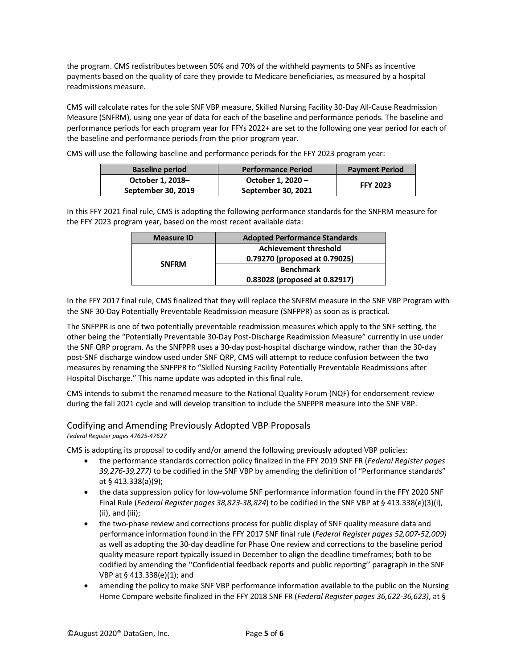the program. CMS redistributes between 50% and 70% of the withheld payments to SNFs as incentive payments based on the quality of care they provide to Medicare beneficiaries, as measured by a hospital readmissions measure.

CMS will calculate rates for the sole SNF VBP measure, Skilled Nursing Facility 30-Day All-Cause Readmission Measure (SNFRM), using one year of data for each of the baseline and performance periods. The baseline and performance periods for each program year for FFYs 2022+ are set to the following one year period for each of the baseline and performance periods from the prior program year.

CMS will use the following baseline and performance periods for the FFY 2023 program year:

| <b>Baseline period</b> | <b>Performance Period</b> | <b>Payment Period</b> |
|------------------------|---------------------------|-----------------------|
| October 1, 2018-       | October 1, 2020 -         | <b>FFY 2023</b>       |
| September 30, 2019     | September 30, 2021        |                       |

In this FFY 2021 final rule, CMS is adopting the following performance standards for the SNFRM measure for the FFY 2023 program year, based on the most recent available data:

| <b>Measure ID</b> | <b>Adopted Performance Standards</b> |  |
|-------------------|--------------------------------------|--|
|                   | <b>Achievement threshold</b>         |  |
|                   | 0.79270 (proposed at 0.79025)        |  |
| <b>SNFRM</b>      | <b>Benchmark</b>                     |  |
|                   | 0.83028 (proposed at 0.82917)        |  |

In the FFY 2017 final rule, CMS finalized that they will replace the SNFRM measure in the SNF VBP Program with the SNF 30-Day Potentially Preventable Readmission measure (SNFPPR) as soon as is practical.

The SNFPPR is one of two potentially preventable readmission measures which apply to the SNF setting, the other being the "Potentially Preventable 30-Day Post-Discharge Readmission Measure" currently in use under the SNF QRP program. As the SNFPPR uses a 30-day post-hospital discharge window, rather than the 30-day post-SNF discharge window used under SNF QRP, CMS will attempt to reduce confusion between the two measures by renaming the SNFPPR to "Skilled Nursing Facility Potentially Preventable Readmissions after Hospital Discharge." This name update was adopted in this final rule.

CMS intends to submit the renamed measure to the National Quality Forum (NQF) for endorsement review during the fall 2021 cycle and will develop transition to include the SNFPPR measure into the SNF VBP.

#### Codifying and Amending Previously Adopted VBP Proposals

#### *Federal Register pages 47625-47627*

CMS is adopting its proposal to codify and/or amend the following previously adopted VBP policies:

- the performance standards correction policy finalized in the FFY 2019 SNF FR (*Federal Register pages 39,276-39,277)* to be codified in the SNF VBP by amending the definition of "Performance standards" at § 413.338(a)(9);
- the data suppression policy for low-volume SNF performance information found in the FFY 2020 SNF Final Rule (*Federal Register pages 38,823-38,824*) to be codified in the SNF VBP at § 413.338(e)(3)(i), (ii), and (iii);
- the two-phase review and corrections process for public display of SNF quality measure data and performance information found in the FFY 2017 SNF final rule (*Federal Register pages 52,007-52,009)* as well as adopting the 30-day deadline for Phase One review and corrections to the baseline period quality measure report typically issued in December to align the deadline timeframes; both to be codified by amending the ''Confidential feedback reports and public reporting'' paragraph in the SNF VBP at § 413.338(e)(1); and
- amending the policy to make SNF VBP performance information available to the public on the Nursing Home Compare website finalized in the FFY 2018 SNF FR (*Federal Register pages 36,622-36,623)*, at §